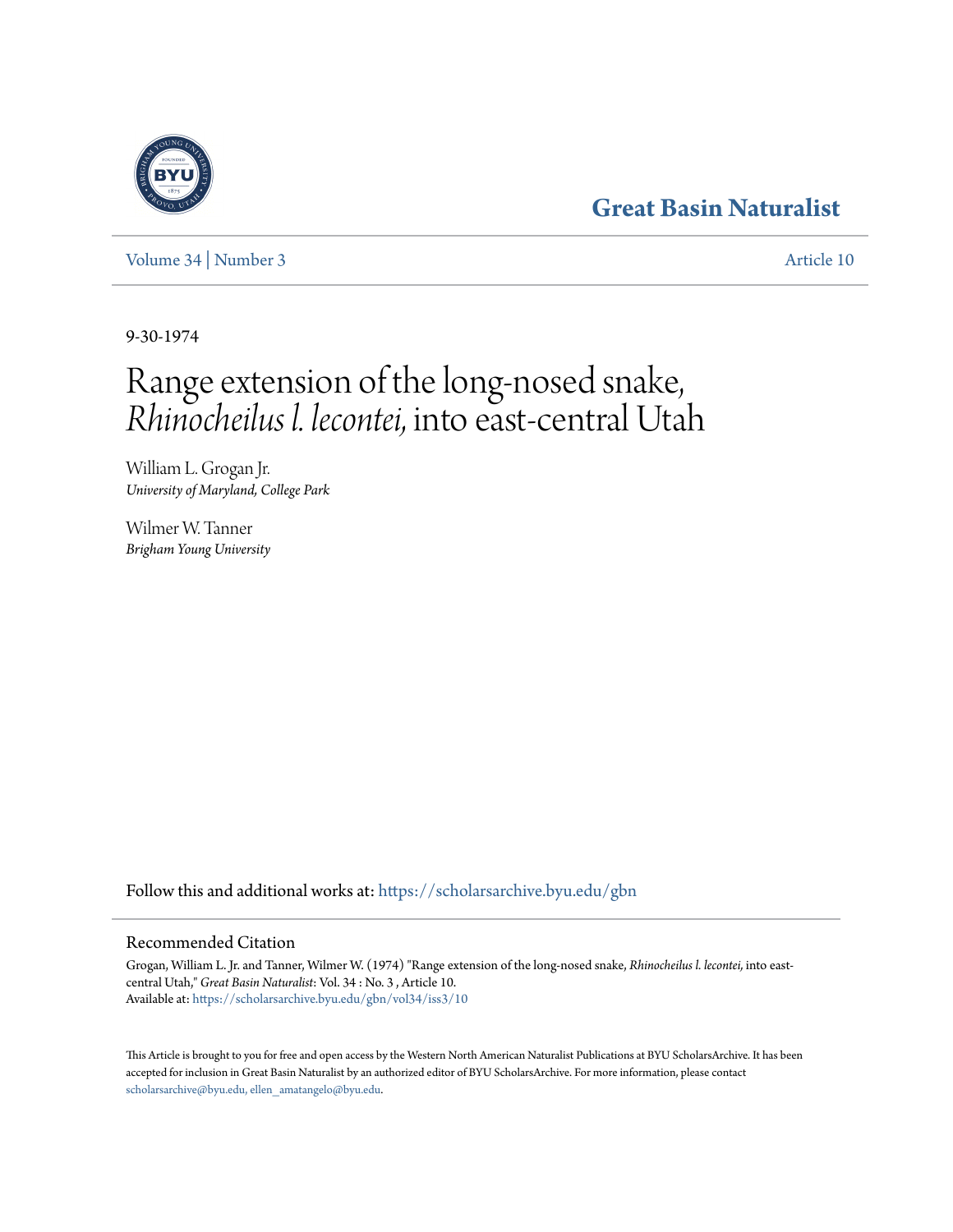## **[Great Basin Naturalist](https://scholarsarchive.byu.edu/gbn?utm_source=scholarsarchive.byu.edu%2Fgbn%2Fvol34%2Fiss3%2F10&utm_medium=PDF&utm_campaign=PDFCoverPages)**

[Volume 34](https://scholarsarchive.byu.edu/gbn/vol34?utm_source=scholarsarchive.byu.edu%2Fgbn%2Fvol34%2Fiss3%2F10&utm_medium=PDF&utm_campaign=PDFCoverPages) | [Number 3](https://scholarsarchive.byu.edu/gbn/vol34/iss3?utm_source=scholarsarchive.byu.edu%2Fgbn%2Fvol34%2Fiss3%2F10&utm_medium=PDF&utm_campaign=PDFCoverPages) [Article 10](https://scholarsarchive.byu.edu/gbn/vol34/iss3/10?utm_source=scholarsarchive.byu.edu%2Fgbn%2Fvol34%2Fiss3%2F10&utm_medium=PDF&utm_campaign=PDFCoverPages)

9-30-1974

# Range extension of the long-nosed snake, *Rhinocheilus l. lecontei,* into east-central Utah

William L. Grogan Jr. *University of Maryland, College Park*

Wilmer W. Tanner *Brigham Young University*

Follow this and additional works at: [https://scholarsarchive.byu.edu/gbn](https://scholarsarchive.byu.edu/gbn?utm_source=scholarsarchive.byu.edu%2Fgbn%2Fvol34%2Fiss3%2F10&utm_medium=PDF&utm_campaign=PDFCoverPages)

### Recommended Citation

Grogan, William L. Jr. and Tanner, Wilmer W. (1974) "Range extension of the long-nosed snake, *Rhinocheilus l. lecontei,* into eastcentral Utah," *Great Basin Naturalist*: Vol. 34 : No. 3 , Article 10. Available at: [https://scholarsarchive.byu.edu/gbn/vol34/iss3/10](https://scholarsarchive.byu.edu/gbn/vol34/iss3/10?utm_source=scholarsarchive.byu.edu%2Fgbn%2Fvol34%2Fiss3%2F10&utm_medium=PDF&utm_campaign=PDFCoverPages)

This Article is brought to you for free and open access by the Western North American Naturalist Publications at BYU ScholarsArchive. It has been accepted for inclusion in Great Basin Naturalist by an authorized editor of BYU ScholarsArchive. For more information, please contact [scholarsarchive@byu.edu, ellen\\_amatangelo@byu.edu.](mailto:scholarsarchive@byu.edu,%20ellen_amatangelo@byu.edu)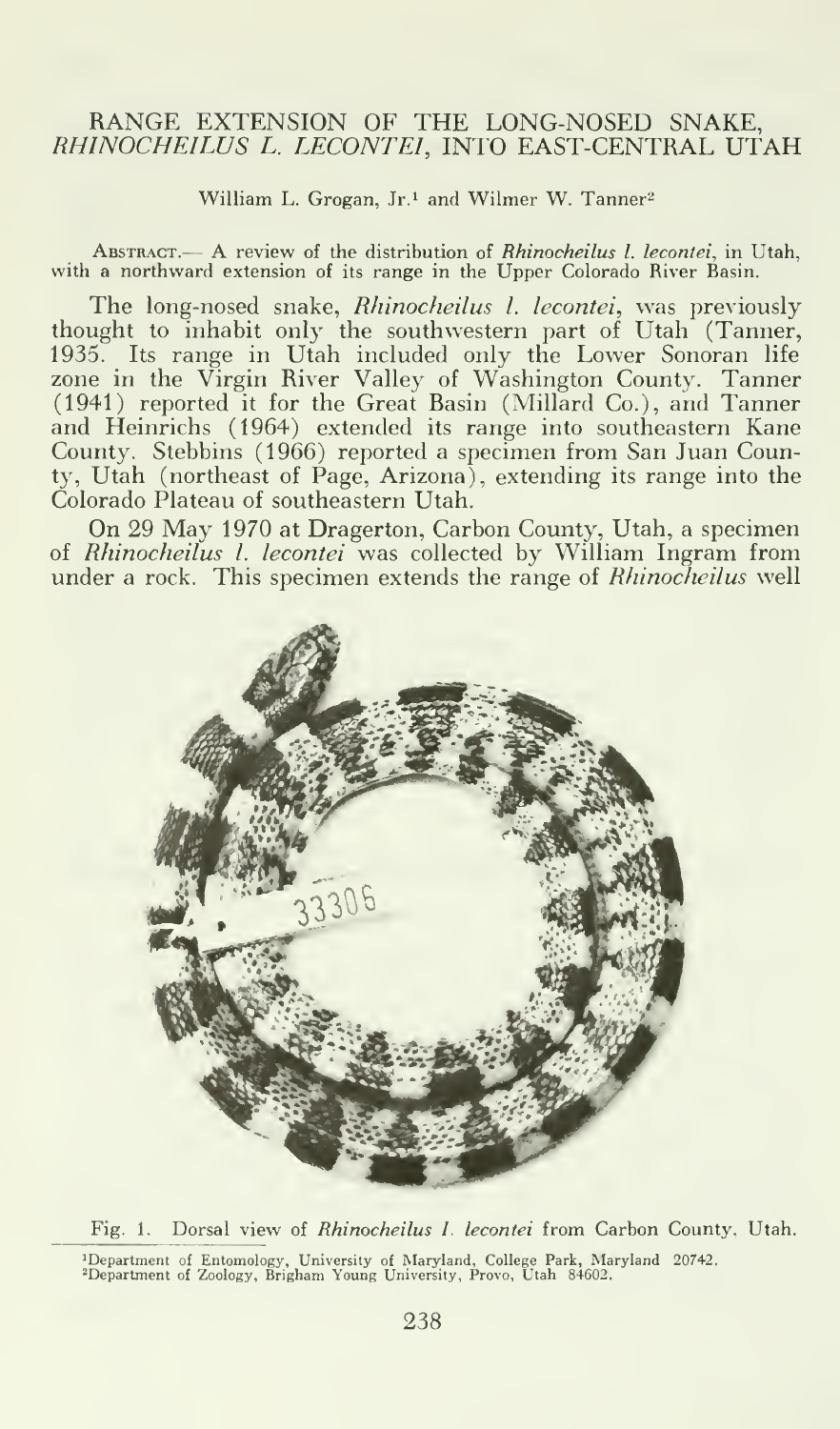#### RANGE EXTENSION OF THE LONG-NOSED SNAKE, RHINOCHEILUS L. LECONTEI, INTO EAST-CENTRAL UTAH

William L. Grogan, Jr.<sup>1</sup> and Wilmer W. Tanner<sup>2</sup>

ABSTRACT.— A review of the distribution of Rhinocheilus I. lecontei, in Utah, with a northward extension of its range in the Upper Colorado River Basin.

The long-nosed snake, Rhinocheilus I. lecontei, was previously thought to inhabit only the southwestern part of Utah (Tanner, 1935. Its range in Utah included only the Lower Sonoran life zone in the Virgin River Valley of Washington County. Tanner (1941) reported it for the Great Rasin (Millard Co.), and Tanner and Heinrichs (1964) extended its range into southeastern Kane County. Stebbins (1966) reported a specimen from San Juan County, Utah (northeast of Page, Arizona), extending its range into the Colorado Plateau of southeastern Utah.

On 29 May 1970 at Dragerton, Carbon County, Utah, <sup>a</sup> specimen of Rhinocheilus I. lecontei was collected by William Ingram from under a rock. This specimen extends the range of *Rhinocheilus* well



Fig. 1. Dorsal view of Rhinocheilus I. lecontei from Carbon County, Utah. 'Department of Entomology, University of Maryland, College Park, Maryland 20742.<br>'Department of Zoology, Brigham Young University, Provo, Utah 84602.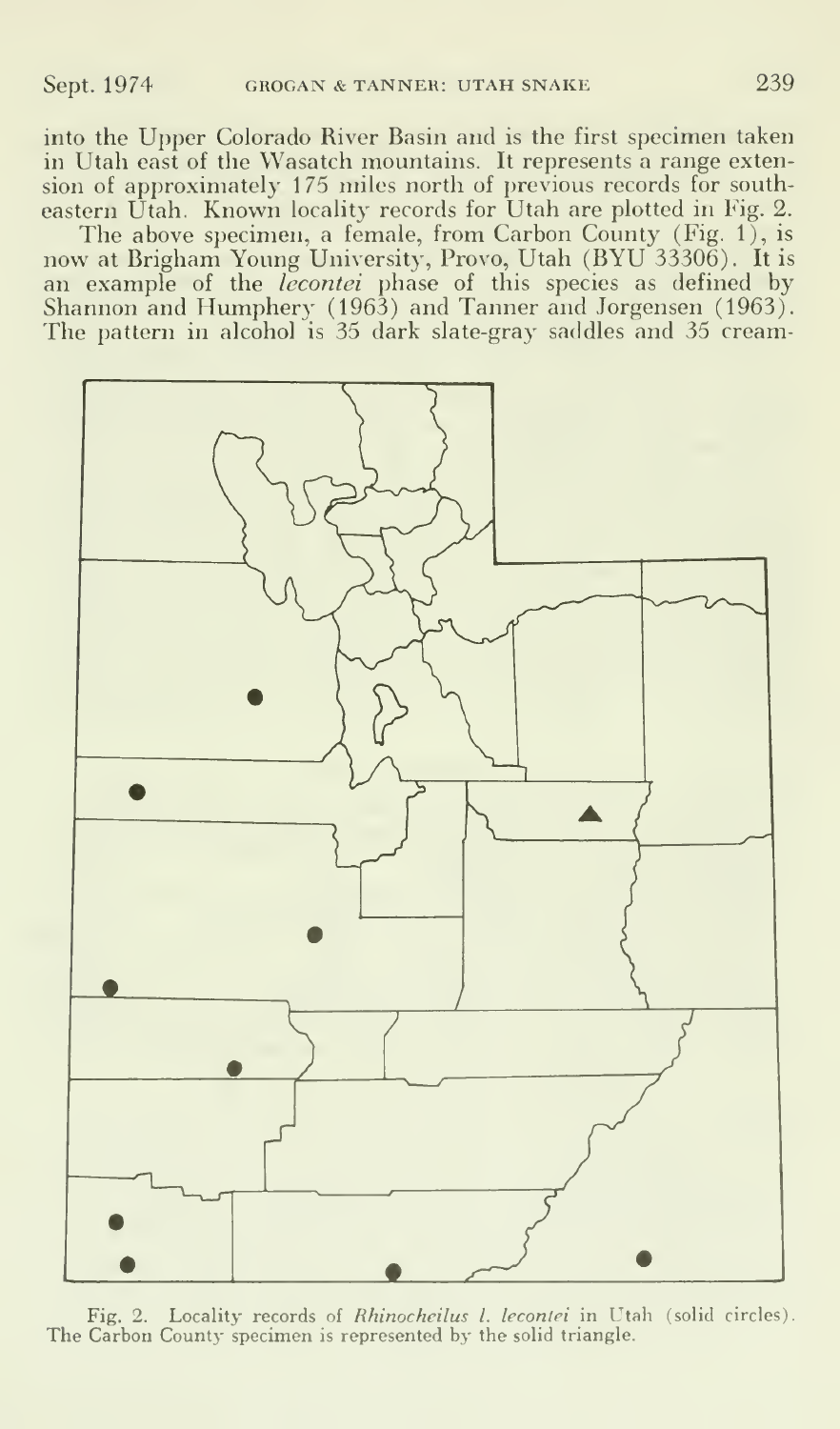into the Upper Colorado River Basin and is the first specimen taken in Utah east of the Wasatch mountains. It represents a range extension of approximately 175 miles north of previous records for southeastern Utah. Known locality records for Utah are plotted in Fig. 2.

The above specimen, a female, from Carbon County (Fig. 1), is now at Brigham Young University, Provo, Utah (BYU 33306). It is an example of the *lecontei* phase of this species as defined by Shannon and Humphery (1963) and Tanner and Jorgensen (1963). The pattern in alcohol is 35 dark slate-gray saddles and 35 cream-



Fig. 2. Locality records of *Rhinocheilus I. lecontei* in Utah (solid circles). The Carbon County specimen is represented by the solid triangle.